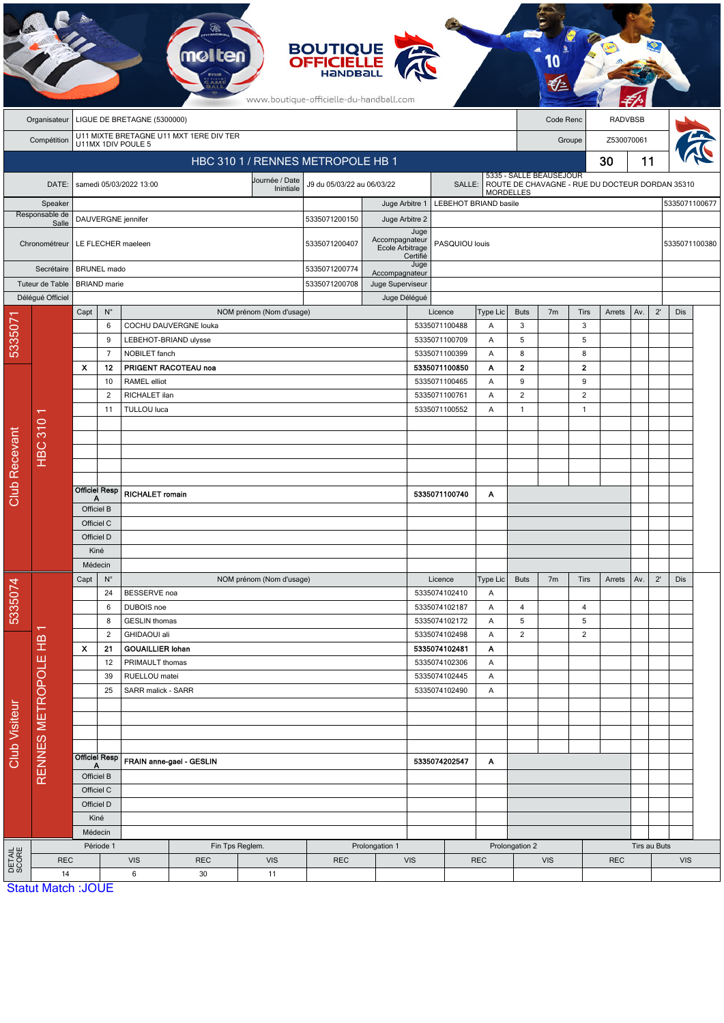|                           | <b>BOUTIQUE</b><br><b>OFFICIELLE</b><br>HANDBAI<br>www.boutique-officielle-du-handball.com |                                          |                                                                                |                             |                                         |                                |                                      |                                   |                  |                       |                |                                                                                                |                      |                |                |               |               |            |  |  |  |
|---------------------------|--------------------------------------------------------------------------------------------|------------------------------------------|--------------------------------------------------------------------------------|-----------------------------|-----------------------------------------|--------------------------------|--------------------------------------|-----------------------------------|------------------|-----------------------|----------------|------------------------------------------------------------------------------------------------|----------------------|----------------|----------------|---------------|---------------|------------|--|--|--|
|                           | Organisateur                                                                               |                                          |                                                                                | LIGUE DE BRETAGNE (5300000) |                                         |                                |                                      |                                   |                  |                       |                |                                                                                                | Code Renc            |                | <b>RADVBSB</b> |               |               |            |  |  |  |
|                           | Compétition                                                                                |                                          |                                                                                | U11MX 1DIV POULE 5          | U11 MIXTE BRETAGNE U11 MXT 1ERE DIV TER |                                |                                      |                                   |                  |                       |                |                                                                                                | Z530070061<br>Groupe |                |                |               |               |            |  |  |  |
|                           |                                                                                            |                                          |                                                                                |                             |                                         |                                | HBC 310 1 / RENNES METROPOLE HB 1    |                                   |                  |                       |                |                                                                                                |                      |                | 30             | 11            |               |            |  |  |  |
|                           | DATE:                                                                                      |                                          |                                                                                | samedi 05/03/2022 13:00     |                                         | Journée / Date<br>Inintiale    | J9 du 05/03/22 au 06/03/22<br>SALLE: |                                   |                  |                       |                | 5335 - SALLE BEAUSEJOUR<br>ROUTE DE CHAVAGNE - RUE DU DOCTEUR DORDAN 35310<br><b>MORDELLES</b> |                      |                |                |               |               |            |  |  |  |
| Speaker<br>Responsable de |                                                                                            |                                          |                                                                                |                             |                                         |                                |                                      | Juge Arbitre 1                    |                  | LEBEHOT BRIAND basile |                |                                                                                                |                      |                |                |               | 5335071100677 |            |  |  |  |
| Salle<br>Chronométreur    |                                                                                            | DAUVERGNE jennifer<br>LE FLECHER maeleen |                                                                                |                             |                                         |                                | 5335071200150<br>5335071200407       | Juge Arbitre 2<br>Juge            | PASQUIOU louis   |                       |                |                                                                                                |                      |                |                | 5335071100380 |               |            |  |  |  |
|                           |                                                                                            |                                          |                                                                                |                             |                                         |                                |                                      | Accompagnateur<br>Ecole Arbitrage | Certifié<br>Juge |                       |                |                                                                                                |                      |                |                |               |               |            |  |  |  |
| Secrétaire                |                                                                                            |                                          | <b>BRUNEL</b> mado                                                             |                             |                                         | 5335071200774<br>5335071200708 | Accompagnateur                       |                                   |                  |                       |                |                                                                                                |                      |                |                |               |               |            |  |  |  |
|                           | Tuteur de Table<br>Délégué Officiel                                                        | <b>BRIAND</b> marie                      |                                                                                |                             |                                         |                                |                                      | Juge Superviseur<br>Juge Délégué  |                  |                       |                |                                                                                                |                      |                |                |               |               |            |  |  |  |
|                           |                                                                                            | Capt                                     | $N^{\circ}$                                                                    |                             |                                         | NOM prénom (Nom d'usage)       |                                      |                                   |                  | Licence               | Type Lic       | <b>Buts</b>                                                                                    | 7 <sub>m</sub>       | Tirs           | Arrets         | Av.           | $2^{\prime}$  | Dis        |  |  |  |
| 5335071                   |                                                                                            |                                          | 6                                                                              |                             | COCHU DAUVERGNE louka                   |                                |                                      |                                   |                  | 5335071100488         | A              | 3                                                                                              |                      | 3              |                |               |               |            |  |  |  |
|                           |                                                                                            |                                          | 9                                                                              |                             | LEBEHOT-BRIAND ulysse                   |                                |                                      |                                   |                  | 5335071100709         | Α              | 5                                                                                              |                      | 5              |                |               |               |            |  |  |  |
|                           |                                                                                            |                                          | $\overline{7}$                                                                 | NOBILET fanch               |                                         |                                |                                      |                                   |                  | 5335071100399         | Α              | 8                                                                                              |                      | 8              |                |               |               |            |  |  |  |
|                           |                                                                                            | X                                        | 12                                                                             |                             | PRIGENT RACOTEAU noa                    |                                |                                      |                                   |                  | 5335071100850         | Α              | $\overline{\mathbf{2}}$                                                                        |                      | $\mathbf 2$    |                |               |               |            |  |  |  |
|                           |                                                                                            |                                          | 10                                                                             | RAMEL elliot                |                                         |                                | 5335071100465                        |                                   |                  |                       | Α              | 9                                                                                              |                      | 9              |                |               |               |            |  |  |  |
|                           |                                                                                            |                                          | $\overline{2}$                                                                 | RICHALET ilan               |                                         |                                |                                      | 5335071100761<br>Α                |                  |                       |                | $\overline{2}$                                                                                 |                      | $\overline{2}$ |                |               |               |            |  |  |  |
|                           | ↽                                                                                          |                                          | 11                                                                             | TULLOU luca                 |                                         |                                |                                      |                                   |                  | 5335071100552         | A              | $\mathbf{1}$                                                                                   |                      | $\overline{1}$ |                |               |               |            |  |  |  |
|                           |                                                                                            |                                          |                                                                                |                             |                                         |                                |                                      |                                   |                  |                       |                |                                                                                                |                      |                |                |               |               |            |  |  |  |
|                           |                                                                                            |                                          |                                                                                |                             |                                         |                                |                                      |                                   |                  |                       |                |                                                                                                |                      |                |                |               |               |            |  |  |  |
| <b>Club Recevant</b>      | <b>HBC 310</b>                                                                             |                                          |                                                                                |                             |                                         |                                |                                      |                                   |                  |                       |                |                                                                                                |                      |                |                |               |               |            |  |  |  |
|                           |                                                                                            |                                          |                                                                                |                             |                                         |                                |                                      |                                   |                  |                       |                |                                                                                                |                      |                |                |               |               |            |  |  |  |
|                           |                                                                                            | <b>Officiel Resp</b><br>Δ                |                                                                                | RICHALET romain             |                                         |                                |                                      | 5335071100740                     |                  |                       | Α              |                                                                                                |                      |                |                |               |               |            |  |  |  |
|                           |                                                                                            | Officiel B                               |                                                                                |                             |                                         |                                |                                      |                                   |                  |                       |                |                                                                                                |                      |                |                |               |               |            |  |  |  |
|                           |                                                                                            | Officiel C                               |                                                                                |                             |                                         |                                |                                      |                                   |                  |                       |                |                                                                                                |                      |                |                |               |               |            |  |  |  |
|                           |                                                                                            | Officiel D                               |                                                                                |                             |                                         |                                |                                      |                                   |                  |                       |                |                                                                                                |                      |                |                |               |               |            |  |  |  |
|                           |                                                                                            | Kiné                                     |                                                                                |                             |                                         |                                |                                      |                                   |                  |                       |                |                                                                                                |                      |                |                |               |               |            |  |  |  |
|                           |                                                                                            | Médecin                                  |                                                                                |                             |                                         |                                |                                      |                                   |                  |                       |                |                                                                                                |                      |                |                |               |               |            |  |  |  |
|                           |                                                                                            | Capt                                     | $N^{\circ}$<br>NOM prénom (Nom d'usage)                                        |                             |                                         |                                |                                      | Licence                           | Type Lic         | <b>Buts</b>           | 7 <sub>m</sub> | Tirs                                                                                           | Arrets               | Av.            | $2^{\prime}$   | Dis           |               |            |  |  |  |
| 5335074                   |                                                                                            |                                          | 24                                                                             | BESSERVE noa                |                                         |                                |                                      |                                   |                  | 5335074102410         | Α              |                                                                                                |                      |                |                |               |               |            |  |  |  |
|                           |                                                                                            |                                          | 6<br>DUBOIS noe<br>8<br><b>GESLIN</b> thomas<br>$\overline{2}$<br>GHIDAOUI ali |                             |                                         | 5335074102187<br>5335074102172 |                                      | Α                                 | 4<br>5           |                       | 4<br>5         |                                                                                                |                      |                |                |               |               |            |  |  |  |
|                           |                                                                                            |                                          |                                                                                |                             |                                         |                                |                                      |                                   |                  | 5335074102498         | Α<br>Α         | $\mathbf 2$                                                                                    |                      | $\overline{c}$ |                |               |               |            |  |  |  |
|                           |                                                                                            | X                                        | 21                                                                             | <b>GOUAILLIER Iohan</b>     |                                         |                                |                                      |                                   |                  | 5335074102481         | Α              |                                                                                                |                      |                |                |               |               |            |  |  |  |
|                           |                                                                                            | 12                                       |                                                                                | PRIMAULT thomas             |                                         |                                |                                      |                                   |                  | 5335074102306         | Α              |                                                                                                |                      |                |                |               |               |            |  |  |  |
|                           |                                                                                            | 39                                       |                                                                                | RUELLOU matei               |                                         |                                |                                      |                                   |                  | 5335074102445         | Α              |                                                                                                |                      |                |                |               |               |            |  |  |  |
| Club Visiteur             |                                                                                            | 25                                       |                                                                                | SARR malick - SARR          |                                         |                                |                                      |                                   |                  | 5335074102490         | A              |                                                                                                |                      |                |                |               |               |            |  |  |  |
|                           |                                                                                            |                                          |                                                                                |                             |                                         |                                |                                      |                                   |                  |                       |                |                                                                                                |                      |                |                |               |               |            |  |  |  |
|                           | RENNES METROPOLE HB                                                                        |                                          |                                                                                |                             |                                         |                                |                                      |                                   |                  |                       |                |                                                                                                |                      |                |                |               |               |            |  |  |  |
|                           |                                                                                            |                                          |                                                                                |                             |                                         |                                |                                      |                                   |                  |                       |                |                                                                                                |                      |                |                |               |               |            |  |  |  |
|                           |                                                                                            |                                          | <b>Officiel Resp</b>                                                           |                             |                                         |                                |                                      |                                   |                  |                       |                |                                                                                                |                      |                |                |               |               |            |  |  |  |
|                           |                                                                                            | Α<br>Officiel B                          |                                                                                | FRAIN anne-gael - GESLIN    |                                         |                                |                                      | 5335074202547                     |                  |                       | A              |                                                                                                |                      |                |                |               |               |            |  |  |  |
|                           |                                                                                            |                                          |                                                                                |                             |                                         |                                |                                      |                                   |                  |                       |                |                                                                                                |                      |                |                |               |               |            |  |  |  |
|                           |                                                                                            | Officiel C<br>Officiel D<br>Kiné         |                                                                                |                             |                                         |                                |                                      |                                   |                  |                       |                |                                                                                                |                      |                |                |               |               |            |  |  |  |
|                           |                                                                                            |                                          |                                                                                |                             |                                         |                                |                                      |                                   |                  |                       |                |                                                                                                |                      |                |                |               |               |            |  |  |  |
|                           |                                                                                            |                                          |                                                                                |                             |                                         |                                |                                      |                                   |                  |                       |                |                                                                                                |                      |                |                |               |               |            |  |  |  |
|                           |                                                                                            | Médecin<br>Période 1                     |                                                                                |                             | Fin Tps Reglem.                         |                                |                                      | Prolongation 1                    |                  |                       |                | Prolongation 2                                                                                 |                      |                | Tirs au Buts   |               |               |            |  |  |  |
| DETAIL<br>SCORE           | <b>REC</b>                                                                                 |                                          |                                                                                | <b>VIS</b>                  | <b>REC</b>                              | <b>VIS</b>                     | <b>REC</b>                           |                                   | <b>VIS</b>       |                       | <b>REC</b>     | <b>VIS</b>                                                                                     |                      |                | <b>REC</b>     |               |               | <b>VIS</b> |  |  |  |
|                           | 14                                                                                         |                                          |                                                                                | 6                           | 30                                      | 11                             |                                      |                                   |                  |                       |                |                                                                                                |                      |                |                |               |               |            |  |  |  |
|                           | <b>Statut Match: JOUE</b>                                                                  |                                          |                                                                                |                             |                                         |                                |                                      |                                   |                  |                       |                |                                                                                                |                      |                |                |               |               |            |  |  |  |